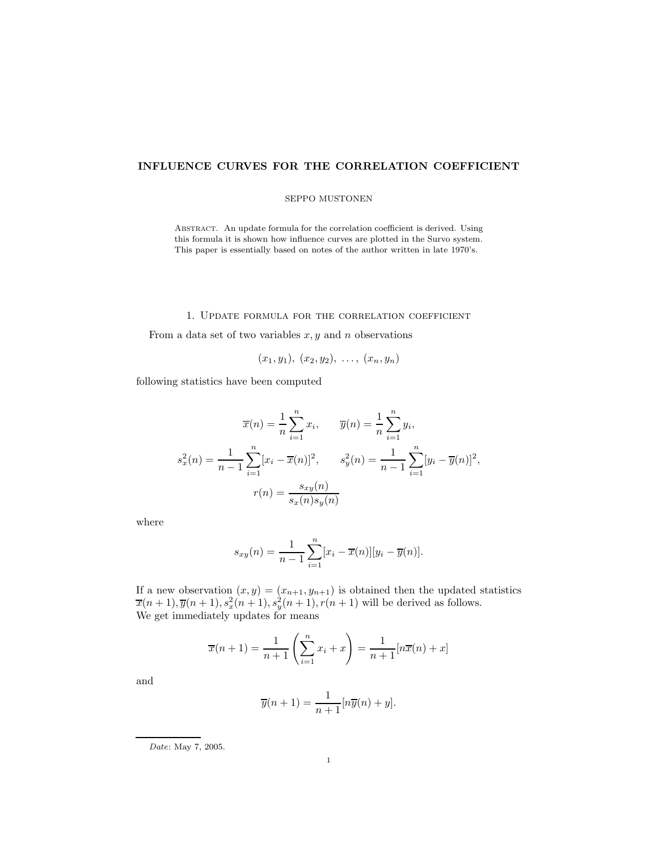# **INFLUENCE CURVES FOR THE CORRELATION COEFFICIENT**

### SEPPO MUSTONEN

Abstract. An update formula for the correlation coefficient is derived. Using this formula it is shown how influence curves are plotted in the Survo system. This paper is essentially based on notes of the author written in late 1970's.

## 1. Update formula for the correlation coefficient

From a data set of two variables  $x, y$  and n observations

$$
(x_1,y_1), (x_2,y_2), \ldots, (x_n,y_n)
$$

following statistics have been computed

$$
\overline{x}(n) = \frac{1}{n} \sum_{i=1}^{n} x_i, \qquad \overline{y}(n) = \frac{1}{n} \sum_{i=1}^{n} y_i,
$$
  

$$
s_x^2(n) = \frac{1}{n-1} \sum_{i=1}^{n} [x_i - \overline{x}(n)]^2, \qquad s_y^2(n) = \frac{1}{n-1} \sum_{i=1}^{n} [y_i - \overline{y}(n)]^2,
$$
  

$$
r(n) = \frac{s_{xy}(n)}{s_x(n)s_y(n)}
$$

where

$$
s_{xy}(n) = \frac{1}{n-1} \sum_{i=1}^{n} [x_i - \overline{x}(n)][y_i - \overline{y}(n)].
$$

If a new observation  $(x, y)=(x_{n+1}, y_{n+1})$  is obtained then the updated statistics  $\overline{x}(n+1), \overline{y}(n+1), s_x^2(n+1), s_y^2(n+1), r(n+1)$  will be derived as follows. We get immediately updates for means

$$
\overline{x}(n+1) = \frac{1}{n+1} \left( \sum_{i=1}^{n} x_i + x \right) = \frac{1}{n+1} [n\overline{x}(n) + x]
$$

and

$$
\overline{y}(n+1) = \frac{1}{n+1} [n\overline{y}(n) + y].
$$

Date: May 7, 2005.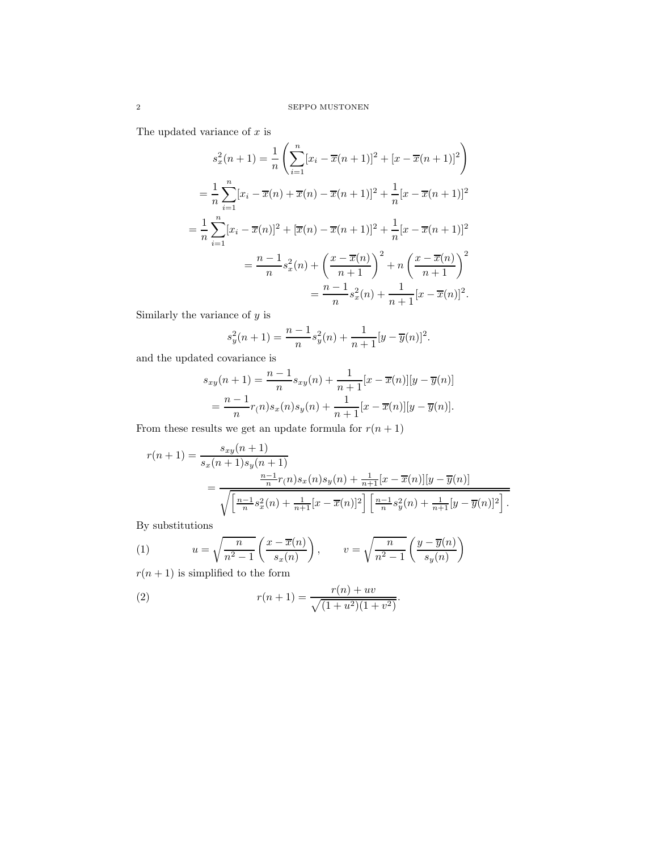The updated variance of  $x$  is

$$
s_x^2(n+1) = \frac{1}{n} \left( \sum_{i=1}^n [x_i - \overline{x}(n+1)]^2 + [x - \overline{x}(n+1)]^2 \right)
$$
  
=  $\frac{1}{n} \sum_{i=1}^n [x_i - \overline{x}(n) + \overline{x}(n) - \overline{x}(n+1)]^2 + \frac{1}{n} [x - \overline{x}(n+1)]^2$   
=  $\frac{1}{n} \sum_{i=1}^n [x_i - \overline{x}(n)]^2 + [\overline{x}(n) - \overline{x}(n+1)]^2 + \frac{1}{n} [x - \overline{x}(n+1)]^2$   
=  $\frac{n-1}{n} s_x^2(n) + \left( \frac{x - \overline{x}(n)}{n+1} \right)^2 + n \left( \frac{x - \overline{x}(n)}{n+1} \right)^2$   
=  $\frac{n-1}{n} s_x^2(n) + \frac{1}{n+1} [x - \overline{x}(n)]^2$ .

Similarly the variance of  $\boldsymbol{y}$  is

$$
s_y^2(n+1) = \frac{n-1}{n} s_y^2(n) + \frac{1}{n+1} [y - \overline{y}(n)]^2.
$$

and the updated covariance is

$$
s_{xy}(n+1) = \frac{n-1}{n} s_{xy}(n) + \frac{1}{n+1} [x - \overline{x}(n)][y - \overline{y}(n)]
$$
  
= 
$$
\frac{n-1}{n} r(n) s_x(n) s_y(n) + \frac{1}{n+1} [x - \overline{x}(n)][y - \overline{y}(n)].
$$

From these results we get an update formula for  $r(n+1)$ 

$$
r(n+1) = \frac{s_{xy}(n+1)}{s_x(n+1)s_y(n+1)}
$$
  
= 
$$
\frac{\frac{n-1}{n}r(n)s_x(n)s_y(n) + \frac{1}{n+1}[x-\overline{x}(n)][y-\overline{y}(n)]}{\sqrt{\left[\frac{n-1}{n}s_x^2(n) + \frac{1}{n+1}[x-\overline{x}(n)]^2\right] \left[\frac{n-1}{n}s_y^2(n) + \frac{1}{n+1}[y-\overline{y}(n)]^2\right]}}.
$$

By substitutions

(1) 
$$
u = \sqrt{\frac{n}{n^2 - 1}} \left( \frac{x - \overline{x}(n)}{s_x(n)} \right), \qquad v = \sqrt{\frac{n}{n^2 - 1}} \left( \frac{y - \overline{y}(n)}{s_y(n)} \right)
$$

$$
x(n+1) \text{ is simplified to the form}
$$

 $r(n+1)$  is simplified to the form

(2) 
$$
r(n+1) = \frac{r(n) + uv}{\sqrt{(1+u^2)(1+v^2)}}.
$$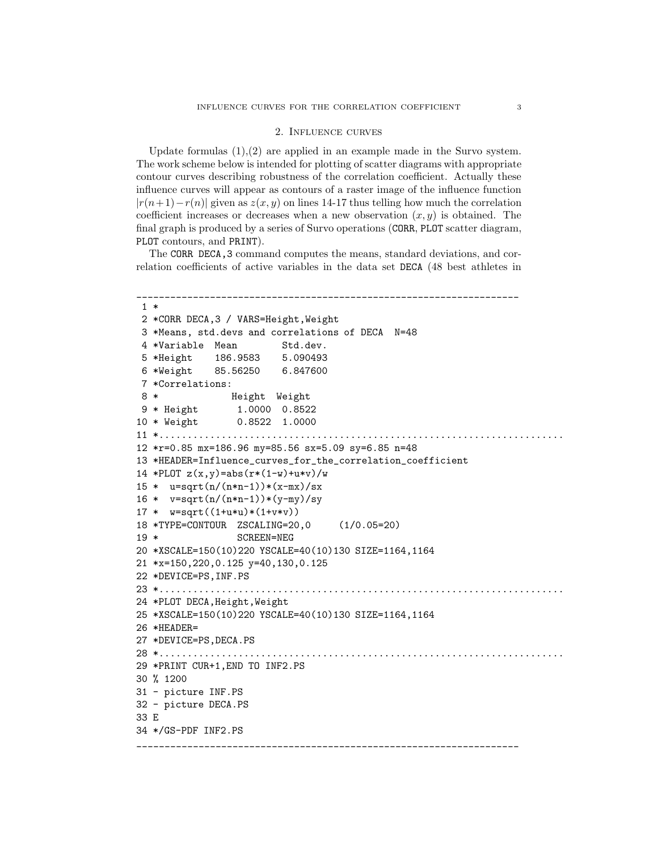#### 2. Influence curves

Update formulas  $(1),(2)$  are applied in an example made in the Survo system. The work scheme below is intended for plotting of scatter diagrams with appropriate contour curves describing robustness of the correlation coefficient. Actually these influence curves will appear as contours of a raster image of the influence function  $|r(n+1)-r(n)|$  given as  $z(x, y)$  on lines 14-17 thus telling how much the correlation coefficient increases or decreases when a new observation  $(x, y)$  is obtained. The final graph is produced by a series of Survo operations (CORR, PLOT scatter diagram, PLOT contours, and PRINT).

The CORR DECA,3 command computes the means, standard deviations, and correlation coefficients of active variables in the data set DECA (48 best athletes in

```
____________________________________________________________________
1 *
2 *CORR DECA,3 / VARS=Height,Weight
3 *Means, std.devs and correlations of DECA N=48
4 *Variable Mean Std.dev.
5 *Height 186.9583 5.090493
6 *Weight 85.56250 6.847600
7 *Correlations:
8 * Height Weight
9 * Height 1.0000 0.8522
10 * Weight 0.8522 1.0000
11 *........................................................................
12 *r=0.85 mx=186.96 my=85.56 sx=5.09 sy=6.85 n=48
13 *HEADER=Influence_curves_for_the_correlation_coefficient
14 *PLOT z(x,y) = abs(r*(1-w)+u*v)/w15 * u=sqrt(n/(n*n-1))*(x-mx)/sx16 * v = sqrt(n/(n*n-1))*(y-my)/sy17 * w = sqrt((1+u*u)*(1+v*v))18 *TYPE=CONTOUR ZSCALING=20,0 (1/0.05=20)
19 * SCREEN=NEG
20 *XSCALE=150(10)220 YSCALE=40(10)130 SIZE=1164,1164
21 *x=150,220,0.125 y=40,130,0.125
22 *DEVICE=PS,INF.PS
23 *........................................................................
24 *PLOT DECA,Height,Weight
25 *XSCALE=150(10)220 YSCALE=40(10)130 SIZE=1164,1164
26 *HEADER=
27 *DEVICE=PS,DECA.PS
28 *........................................................................
29 *PRINT CUR+1,END TO INF2.PS
30 % 1200
31 - picture INF.PS
32 - picture DECA.PS
33 E
34 */GS-PDF INF2.PS
____________________________________________________________________
```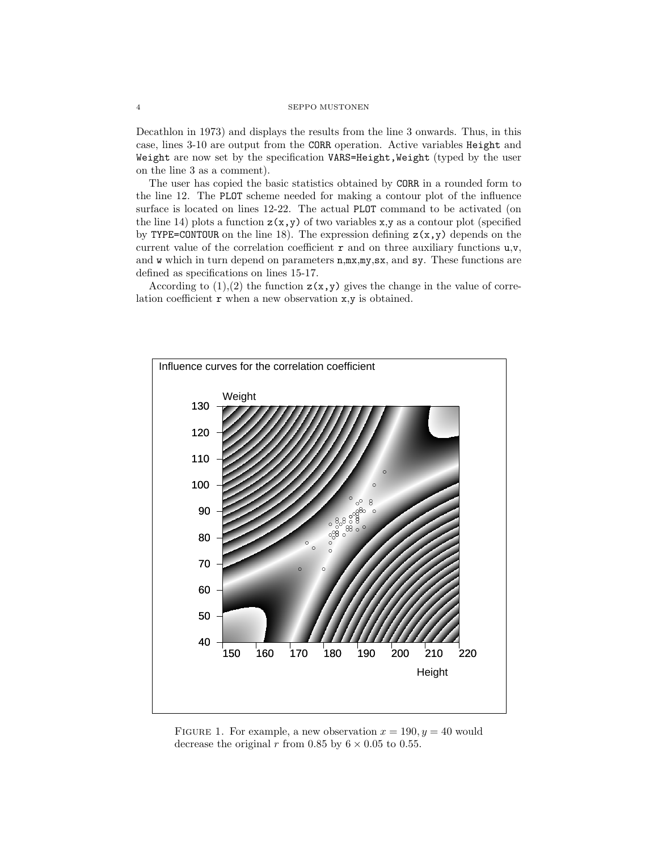#### 4 SEPPO MUSTONEN

Decathlon in 1973) and displays the results from the line 3 onwards. Thus, in this case, lines 3-10 are output from the CORR operation. Active variables Height and Weight are now set by the specification VARS=Height, Weight (typed by the user on the line 3 as a comment).

The user has copied the basic statistics obtained by CORR in a rounded form to the line 12. The PLOT scheme needed for making a contour plot of the influence surface is located on lines 12-22. The actual PLOT command to be activated (on the line 14) plots a function  $z(x,y)$  of two variables x,y as a contour plot (specified by TYPE=CONTOUR on the line 18). The expression defining  $z(x,y)$  depends on the current value of the correlation coefficient  $r$  and on three auxiliary functions  $u,v$ , and w which in turn depend on parameters  $n, m x, m y, s x$ , and sy. These functions are defined as specifications on lines 15-17.

According to  $(1),(2)$  the function  $z(x,y)$  gives the change in the value of correlation coefficient  $\mathbf r$  when a new observation  $\mathbf x, \mathbf y$  is obtained.



FIGURE 1. For example, a new observation  $x = 190, y = 40$  would decrease the original r from 0.85 by  $6 \times 0.05$  to 0.55.